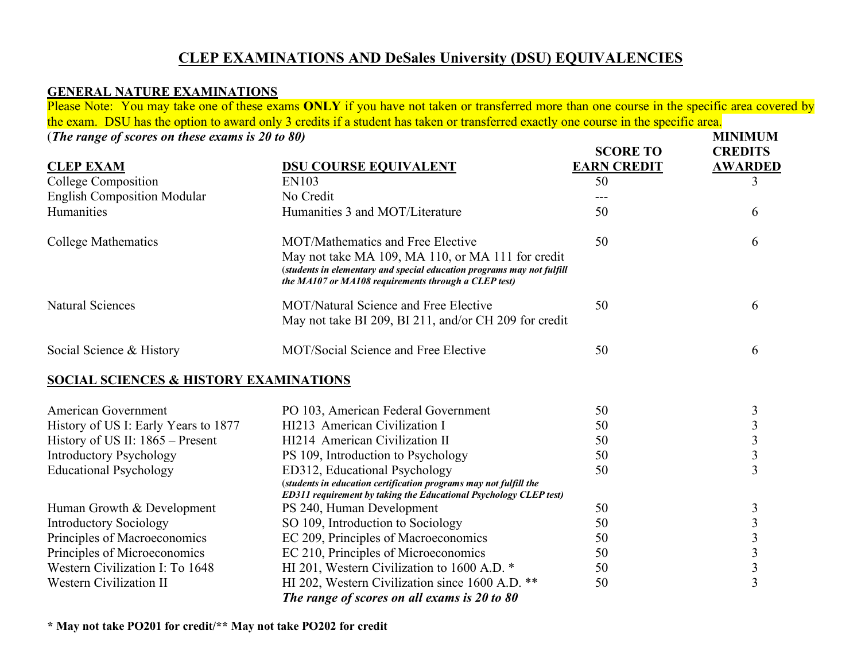## **CLEP EXAMINATIONS AND DeSales University (DSU) EQUIVALENCIES**

## **GENERAL NATURE EXAMINATIONS**

 Please Note: You may take one of these exams **ONLY** if you have not taken or transferred more than one course in the specific area covered by the exam. DSU has the option to award only 3 credits if a student has taken or transferred exactly one course in the specific area.

(*The range of scores on these exams is 20 to 80*) *MINIMUM* 

| <b>CLEP EXAM</b>                                  | <b>DSU COURSE EQUIVALENT</b>                                                                                                                                                        | <b>SCORE TO</b><br><b>EARN CREDIT</b> | <b>CREDITS</b><br><b>AWARDED</b> |
|---------------------------------------------------|-------------------------------------------------------------------------------------------------------------------------------------------------------------------------------------|---------------------------------------|----------------------------------|
| College Composition                               | EN103                                                                                                                                                                               | 50                                    | 3                                |
| <b>English Composition Modular</b>                | No Credit                                                                                                                                                                           | ---                                   |                                  |
| Humanities                                        | Humanities 3 and MOT/Literature                                                                                                                                                     | 50                                    | 6                                |
| <b>College Mathematics</b>                        | MOT/Mathematics and Free Elective                                                                                                                                                   | 50                                    | 6                                |
|                                                   | May not take MA 109, MA 110, or MA 111 for credit<br>(students in elementary and special education programs may not fulfill<br>the MA107 or MA108 requirements through a CLEP test) |                                       |                                  |
| <b>Natural Sciences</b>                           | MOT/Natural Science and Free Elective<br>May not take BI 209, BI 211, and/or CH 209 for credit                                                                                      | 50                                    | 6                                |
| Social Science & History                          | MOT/Social Science and Free Elective                                                                                                                                                | 50                                    | 6                                |
| <b>SOCIAL SCIENCES &amp; HISTORY EXAMINATIONS</b> |                                                                                                                                                                                     |                                       |                                  |
| <b>American Government</b>                        | PO 103, American Federal Government                                                                                                                                                 | 50                                    | 3                                |
| History of US I: Early Years to 1877              | HI213 American Civilization I                                                                                                                                                       | 50                                    | 3                                |
| History of US II: $1865$ – Present                | HI214 American Civilization II                                                                                                                                                      | 50                                    | $\overline{\mathbf{3}}$          |
| <b>Introductory Psychology</b>                    | PS 109, Introduction to Psychology                                                                                                                                                  | 50                                    | $\overline{3}$                   |
| <b>Educational Psychology</b>                     | ED312, Educational Psychology<br>(students in education certification programs may not fulfill the<br>ED311 requirement by taking the Educational Psychology CLEP test)             | 50                                    | 3                                |
| Human Growth & Development                        | PS 240, Human Development                                                                                                                                                           | 50                                    | $\mathfrak{Z}$                   |
| <b>Introductory Sociology</b>                     | SO 109, Introduction to Sociology                                                                                                                                                   | 50                                    | 3                                |
| Principles of Macroeconomics                      | EC 209, Principles of Macroeconomics                                                                                                                                                | 50                                    | 3                                |
| Principles of Microeconomics                      | EC 210, Principles of Microeconomics                                                                                                                                                | 50                                    |                                  |
| Western Civilization I: To 1648                   | HI 201, Western Civilization to 1600 A.D. *                                                                                                                                         | 50                                    | $\frac{3}{3}$                    |
| <b>Western Civilization II</b>                    | HI 202, Western Civilization since 1600 A.D. **                                                                                                                                     | 50                                    | $\overline{3}$                   |
|                                                   | The range of scores on all exams is 20 to 80                                                                                                                                        |                                       |                                  |

 **\* May not take PO201 for credit/\*\* May not take PO202 for credit**